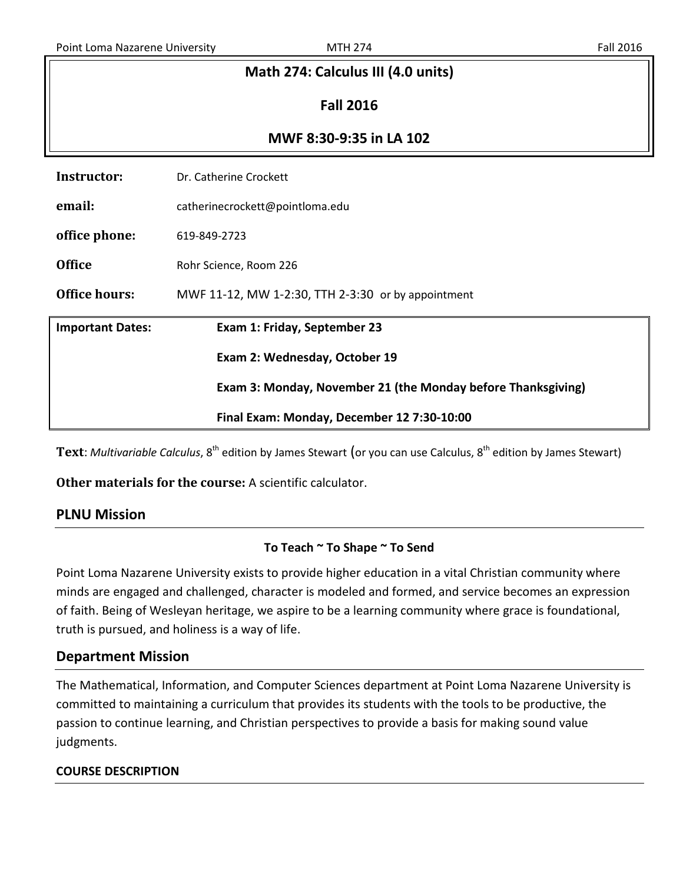| Math 274: Calculus III (4.0 units) |                                                              |  |  |  |  |
|------------------------------------|--------------------------------------------------------------|--|--|--|--|
| <b>Fall 2016</b>                   |                                                              |  |  |  |  |
| MWF 8:30-9:35 in LA 102            |                                                              |  |  |  |  |
| Instructor:                        | Dr. Catherine Crockett                                       |  |  |  |  |
| email:                             | catherinecrockett@pointloma.edu                              |  |  |  |  |
| office phone:                      | 619-849-2723                                                 |  |  |  |  |
| <b>Office</b>                      | Rohr Science, Room 226                                       |  |  |  |  |
| <b>Office hours:</b>               | MWF 11-12, MW 1-2:30, TTH 2-3:30 or by appointment           |  |  |  |  |
| <b>Important Dates:</b>            | Exam 1: Friday, September 23                                 |  |  |  |  |
|                                    | Exam 2: Wednesday, October 19                                |  |  |  |  |
|                                    | Exam 3: Monday, November 21 (the Monday before Thanksgiving) |  |  |  |  |
|                                    | Final Exam: Monday, December 12 7:30-10:00                   |  |  |  |  |

Text: *Multivariable Calculus*, 8<sup>th</sup> edition by James Stewart (or you can use Calculus, 8<sup>th</sup> edition by James Stewart)

**Other materials for the course:** A scientific calculator.

# **PLNU Mission**

### **To Teach ~ To Shape ~ To Send**

Point Loma Nazarene University exists to provide higher education in a vital Christian community where minds are engaged and challenged, character is modeled and formed, and service becomes an expression of faith. Being of Wesleyan heritage, we aspire to be a learning community where grace is foundational, truth is pursued, and holiness is a way of life.

# **Department Mission**

The Mathematical, Information, and Computer Sciences department at Point Loma Nazarene University is committed to maintaining a curriculum that provides its students with the tools to be productive, the passion to continue learning, and Christian perspectives to provide a basis for making sound value judgments.

### **COURSE DESCRIPTION**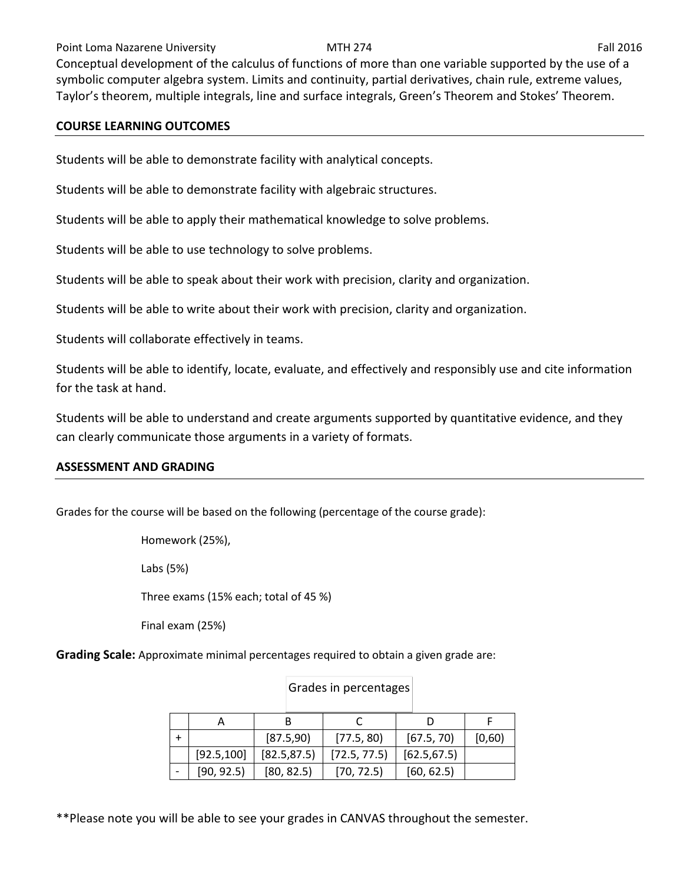### Point Loma Nazarene University **MTH 274** Fall 2016

Conceptual development of the calculus of functions of more than one variable supported by the use of a symbolic computer algebra system. Limits and continuity, partial derivatives, chain rule, extreme values, Taylor's theorem, multiple integrals, line and surface integrals, Green's Theorem and Stokes' Theorem.

### **COURSE LEARNING OUTCOMES**

Students will be able to demonstrate facility with analytical concepts.

Students will be able to demonstrate facility with algebraic structures.

Students will be able to apply their mathematical knowledge to solve problems.

Students will be able to use technology to solve problems.

Students will be able to speak about their work with precision, clarity and organization.

Students will be able to write about their work with precision, clarity and organization.

Students will collaborate effectively in teams.

Students will be able to identify, locate, evaluate, and effectively and responsibly use and cite information for the task at hand.

Students will be able to understand and create arguments supported by quantitative evidence, and they can clearly communicate those arguments in a variety of formats.

### **ASSESSMENT AND GRADING**

Grades for the course will be based on the following (percentage of the course grade):

Homework (25%),

Labs (5%)

Three exams (15% each; total of 45 %)

Final exam (25%)

**Grading Scale:** Approximate minimal percentages required to obtain a given grade are:

|             | [87.5,90]    | [77.5, 80]   | [67.5, 70]   | [0,60) |
|-------------|--------------|--------------|--------------|--------|
| [92.5, 100] | [82.5, 87.5] | [72.5, 77.5] | [62.5, 67.5] |        |
| [90, 92.5]  | [80, 82.5]   | [70, 72.5]   | [60, 62.5]   |        |

### Grades in percentages

\*\*Please note you will be able to see your grades in CANVAS throughout the semester.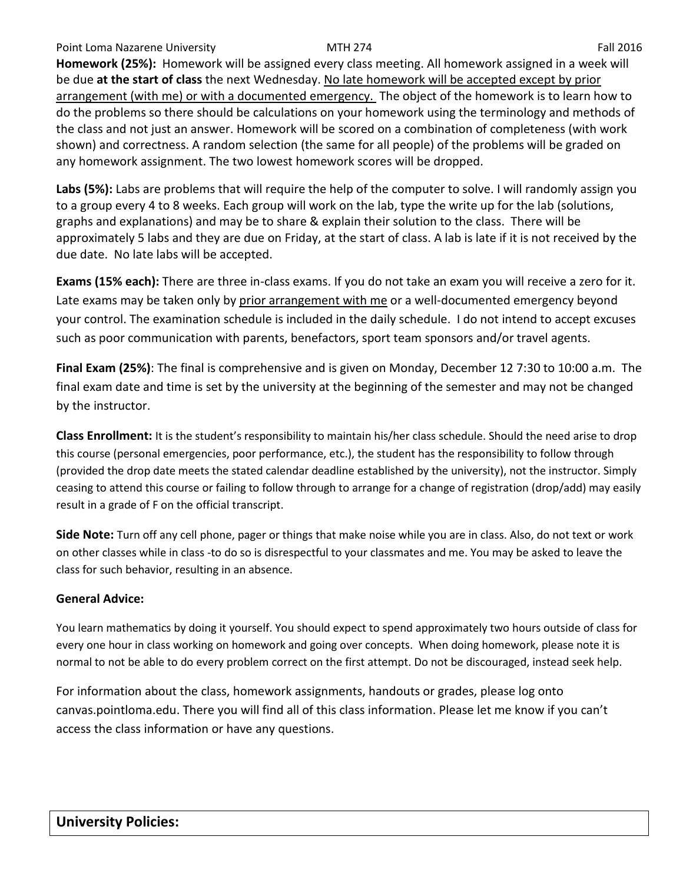**Homework (25%):** Homework will be assigned every class meeting. All homework assigned in a week will be due **at the start of class** the next Wednesday. No late homework will be accepted except by prior arrangement (with me) or with a documented emergency. The object of the homework is to learn how to do the problems so there should be calculations on your homework using the terminology and methods of the class and not just an answer. Homework will be scored on a combination of completeness (with work shown) and correctness. A random selection (the same for all people) of the problems will be graded on any homework assignment. The two lowest homework scores will be dropped.

**Labs (5%):** Labs are problems that will require the help of the computer to solve. I will randomly assign you to a group every 4 to 8 weeks. Each group will work on the lab, type the write up for the lab (solutions, graphs and explanations) and may be to share & explain their solution to the class. There will be approximately 5 labs and they are due on Friday, at the start of class. A lab is late if it is not received by the due date. No late labs will be accepted.

**Exams (15% each):** There are three in-class exams. If you do not take an exam you will receive a zero for it. Late exams may be taken only by prior arrangement with me or a well-documented emergency beyond your control. The examination schedule is included in the daily schedule. I do not intend to accept excuses such as poor communication with parents, benefactors, sport team sponsors and/or travel agents.

**Final Exam (25%)**: The final is comprehensive and is given on Monday, December 12 7:30 to 10:00 a.m. The final exam date and time is set by the university at the beginning of the semester and may not be changed by the instructor.

**Class Enrollment:** It is the student's responsibility to maintain his/her class schedule. Should the need arise to drop this course (personal emergencies, poor performance, etc.), the student has the responsibility to follow through (provided the drop date meets the stated calendar deadline established by the university), not the instructor. Simply ceasing to attend this course or failing to follow through to arrange for a change of registration (drop/add) may easily result in a grade of F on the official transcript.

**Side Note:** Turn off any cell phone, pager or things that make noise while you are in class. Also, do not text or work on other classes while in class -to do so is disrespectful to your classmates and me. You may be asked to leave the class for such behavior, resulting in an absence.

# **General Advice:**

You learn mathematics by doing it yourself. You should expect to spend approximately two hours outside of class for every one hour in class working on homework and going over concepts. When doing homework, please note it is normal to not be able to do every problem correct on the first attempt. Do not be discouraged, instead seek help.

For information about the class, homework assignments, handouts or grades, please log onto canvas.pointloma.edu. There you will find all of this class information. Please let me know if you can't access the class information or have any questions.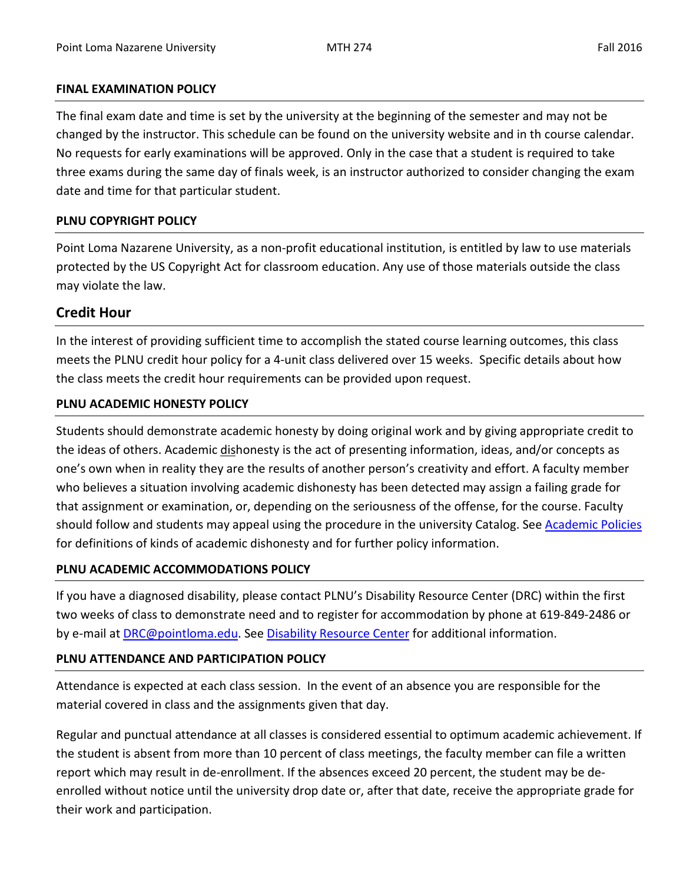### **FINAL EXAMINATION POLICY**

The final exam date and time is set by the university at the beginning of the semester and may not be changed by the instructor. This schedule can be found on the university website and in th course calendar. No requests for early examinations will be approved. Only in the case that a student is required to take three exams during the same day of finals week, is an instructor authorized to consider changing the exam date and time for that particular student.

### **PLNU COPYRIGHT POLICY**

Point Loma Nazarene University, as a non-profit educational institution, is entitled by law to use materials protected by the US Copyright Act for classroom education. Any use of those materials outside the class may violate the law.

# **Credit Hour**

In the interest of providing sufficient time to accomplish the stated course learning outcomes, this class meets the PLNU credit hour policy for a 4-unit class delivered over 15 weeks. Specific details about how the class meets the credit hour requirements can be provided upon request.

# **PLNU ACADEMIC HONESTY POLICY**

Students should demonstrate academic honesty by doing original work and by giving appropriate credit to the ideas of others. Academic dishonesty is the act of presenting information, ideas, and/or concepts as one's own when in reality they are the results of another person's creativity and effort. A faculty member who believes a situation involving academic dishonesty has been detected may assign a failing grade for that assignment or examination, or, depending on the seriousness of the offense, for the course. Faculty should follow and students may appeal using the procedure in the university Catalog. Se[e Academic Policies](http://catalog.pointloma.edu/content.php?catoid=18&navoid=1278) for definitions of kinds of academic dishonesty and for further policy information.

# **PLNU ACADEMIC ACCOMMODATIONS POLICY**

If you have a diagnosed disability, please contact PLNU's Disability Resource Center (DRC) within the first two weeks of class to demonstrate need and to register for accommodation by phone at 619-849-2486 or by e-mail at [DRC@pointloma.edu.](mailto:DRC@pointloma.edu) See [Disability Resource Center](http://www.pointloma.edu/experience/offices/administrative-offices/academic-advising-office/disability-resource-center) for additional information.

# **PLNU ATTENDANCE AND PARTICIPATION POLICY**

Attendance is expected at each class session. In the event of an absence you are responsible for the material covered in class and the assignments given that day.

Regular and punctual attendance at all classes is considered essential to optimum academic achievement. If the student is absent from more than 10 percent of class meetings, the faculty member can file a written report which may result in de-enrollment. If the absences exceed 20 percent, the student may be deenrolled without notice until the university drop date or, after that date, receive the appropriate grade for their work and participation.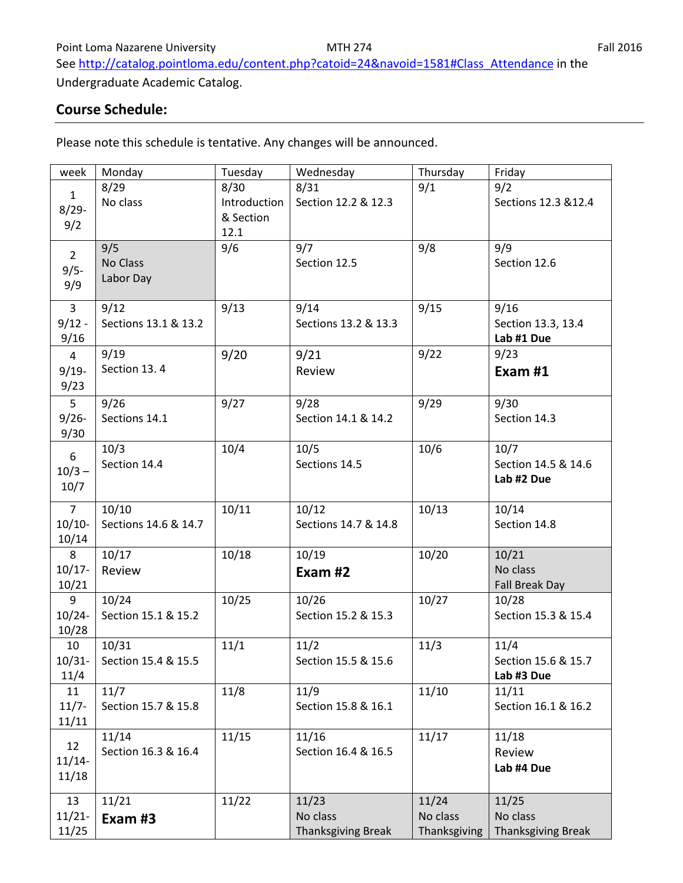See [http://catalog.pointloma.edu/content.php?catoid=24&navoid=1581#Class\\_Attendance](http://catalog.pointloma.edu/content.php?catoid=24&navoid=1581#Class_Attendance) in the

Undergraduate Academic Catalog.

# **Course Schedule:**

Please note this schedule is tentative. Any changes will be announced.

| week            | Monday               | Tuesday      | Wednesday            | Thursday     | Friday                    |
|-----------------|----------------------|--------------|----------------------|--------------|---------------------------|
| $\mathbf{1}$    | 8/29                 | 8/30         | 8/31                 | 9/1          | 9/2                       |
| $8/29 -$        | No class             | Introduction | Section 12.2 & 12.3  |              | Sections 12.3 & 12.4      |
|                 |                      | & Section    |                      |              |                           |
| 9/2             |                      | 12.1         |                      |              |                           |
|                 | 9/5                  | 9/6          | 9/7                  | 9/8          | 9/9                       |
| $2^{\circ}$     | No Class             |              | Section 12.5         |              | Section 12.6              |
| $9/5 -$         | Labor Day            |              |                      |              |                           |
| 9/9             |                      |              |                      |              |                           |
| $\overline{3}$  | 9/12                 | 9/13         | 9/14                 | 9/15         | 9/16                      |
| $9/12 -$        | Sections 13.1 & 13.2 |              | Sections 13.2 & 13.3 |              | Section 13.3, 13.4        |
| 9/16            |                      |              |                      |              | Lab #1 Due                |
| $\overline{4}$  | 9/19                 | 9/20         | 9/21                 | 9/22         | 9/23                      |
| $9/19 -$        | Section 13.4         |              | Review               |              | Exam #1                   |
| 9/23            |                      |              |                      |              |                           |
| 5               | 9/26                 | 9/27         | 9/28                 | 9/29         | 9/30                      |
| $9/26 -$        | Sections 14.1        |              | Section 14.1 & 14.2  |              | Section 14.3              |
| 9/30            |                      |              |                      |              |                           |
|                 | 10/3                 | 10/4         | 10/5                 | 10/6         | 10/7                      |
| $6\phantom{.}6$ | Section 14.4         |              | Sections 14.5        |              | Section 14.5 & 14.6       |
| $10/3 -$        |                      |              |                      |              | Lab #2 Due                |
| 10/7            |                      |              |                      |              |                           |
| 7 <sup>7</sup>  | 10/10                | 10/11        | 10/12                | 10/13        | 10/14                     |
| $10/10-$        | Sections 14.6 & 14.7 |              | Sections 14.7 & 14.8 |              | Section 14.8              |
| 10/14           |                      |              |                      |              |                           |
| 8               | 10/17                | 10/18        | 10/19                | 10/20        | 10/21                     |
| $10/17 -$       | Review               |              | Exam #2              |              | No class                  |
| 10/21           |                      |              |                      |              | <b>Fall Break Day</b>     |
| 9               | 10/24                | 10/25        | 10/26                | 10/27        | 10/28                     |
| $10/24 -$       | Section 15.1 & 15.2  |              | Section 15.2 & 15.3  |              | Section 15.3 & 15.4       |
| 10/28           |                      |              |                      |              |                           |
| 10              | 10/31                | 11/1         | 11/2                 | 11/3         | 11/4                      |
| $10/31 -$       | Section 15.4 & 15.5  |              | Section 15.5 & 15.6  |              | Section 15.6 & 15.7       |
| 11/4            |                      |              |                      |              | Lab #3 Due                |
| 11              | 11/7                 | 11/8         | 11/9                 | 11/10        | 11/11                     |
| $11/7 -$        | Section 15.7 & 15.8  |              | Section 15.8 & 16.1  |              | Section 16.1 & 16.2       |
| 11/11           |                      |              |                      |              |                           |
|                 | 11/14                | 11/15        | 11/16                | 11/17        | 11/18                     |
| 12              | Section 16.3 & 16.4  |              | Section 16.4 & 16.5  |              | Review                    |
| $11/14-$        |                      |              |                      |              | Lab #4 Due                |
| 11/18           |                      |              |                      |              |                           |
| 13              | 11/21                | 11/22        | 11/23                | 11/24        | 11/25                     |
| $11/21 -$       | Exam #3              |              | No class             | No class     | No class                  |
| 11/25           |                      |              | Thanksgiving Break   | Thanksgiving | <b>Thanksgiving Break</b> |